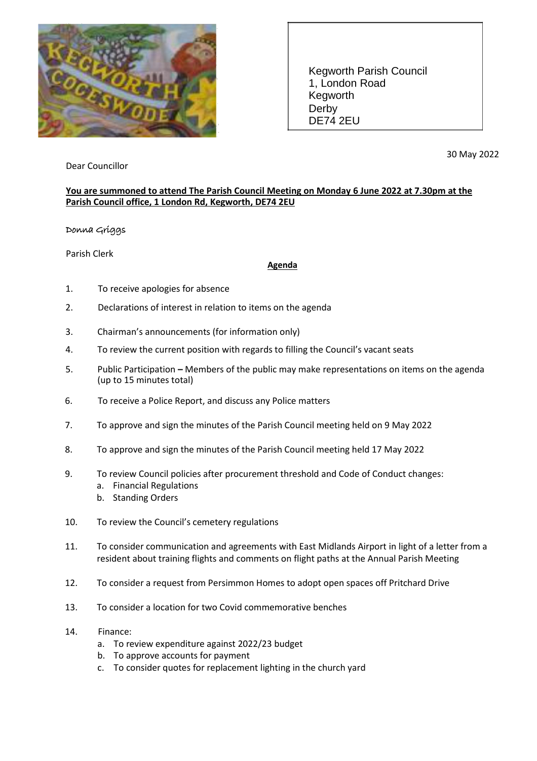

Kegworth Parish Council 1, London Road Kegworth Derby DE74 2EU

Dear Councillor

30 May 2022

## **You are summoned to attend The Parish Council Meeting on Monday 6 June 2022 at 7.30pm at the Parish Council office, 1 London Rd, Kegworth, DE74 2EU**

## Donna Griggs

Parish Clerk

## **Agenda**

- 1. To receive apologies for absence
- 2. Declarations of interest in relation to items on the agenda
- 3. Chairman's announcements (for information only)
- 4. To review the current position with regards to filling the Council's vacant seats
- 5. Public Participation **–** Members of the public may make representations on items on the agenda (up to 15 minutes total)
- 6. To receive a Police Report, and discuss any Police matters
- 7. To approve and sign the minutes of the Parish Council meeting held on 9 May 2022
- 8. To approve and sign the minutes of the Parish Council meeting held 17 May 2022
- 9. To review Council policies after procurement threshold and Code of Conduct changes:
	- a. Financial Regulations
	- b. Standing Orders
- 10. To review the Council's cemetery regulations
- 11. To consider communication and agreements with East Midlands Airport in light of a letter from a resident about training flights and comments on flight paths at the Annual Parish Meeting
- 12. To consider a request from Persimmon Homes to adopt open spaces off Pritchard Drive
- 13. To consider a location for two Covid commemorative benches
- 14. Finance:
	- a. To review expenditure against 2022/23 budget
	- b. To approve accounts for payment
	- c. To consider quotes for replacement lighting in the church yard